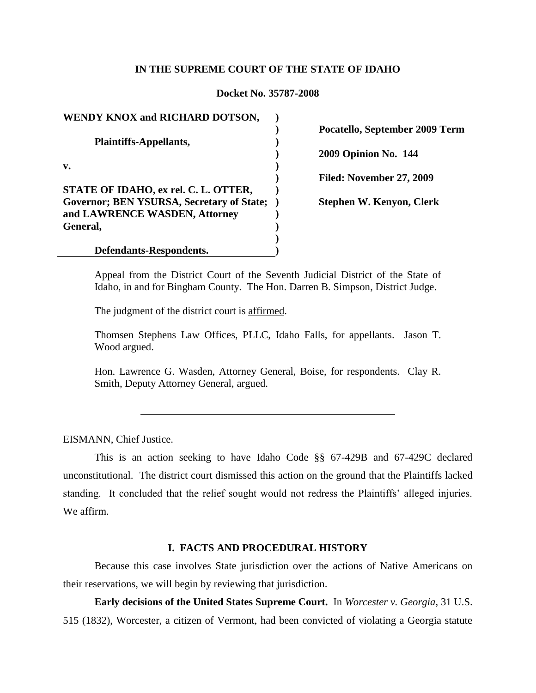## **IN THE SUPREME COURT OF THE STATE OF IDAHO**

# **Docket No. 35787-2008**

**WENDY KNOX and RICHARD DOTSON, Plaintiffs-Appellants, v. STATE OF IDAHO, ex rel. C. L. OTTER, Governor; BEN YSURSA, Secretary of State; ) and LAWRENCE WASDEN, Attorney General, Defendants-Respondents. ) ) ) ) ) ) ) ) ) ) )**

**Pocatello, September 2009 Term 2009 Opinion No. 144**

**Filed: November 27, 2009**

**Stephen W. Kenyon, Clerk**

Appeal from the District Court of the Seventh Judicial District of the State of Idaho, in and for Bingham County. The Hon. Darren B. Simpson, District Judge.

The judgment of the district court is affirmed.

Thomsen Stephens Law Offices, PLLC, Idaho Falls, for appellants. Jason T. Wood argued.

Hon. Lawrence G. Wasden, Attorney General, Boise, for respondents. Clay R. Smith, Deputy Attorney General, argued.

EISMANN, Chief Justice.

This is an action seeking to have Idaho Code §§ 67-429B and 67-429C declared unconstitutional. The district court dismissed this action on the ground that the Plaintiffs lacked standing. It concluded that the relief sought would not redress the Plaintiffs" alleged injuries. We affirm.

## **I. FACTS AND PROCEDURAL HISTORY**

Because this case involves State jurisdiction over the actions of Native Americans on their reservations, we will begin by reviewing that jurisdiction.

**Early decisions of the United States Supreme Court.** In *Worcester v. Georgia*, 31 U.S. 515 (1832), Worcester, a citizen of Vermont, had been convicted of violating a Georgia statute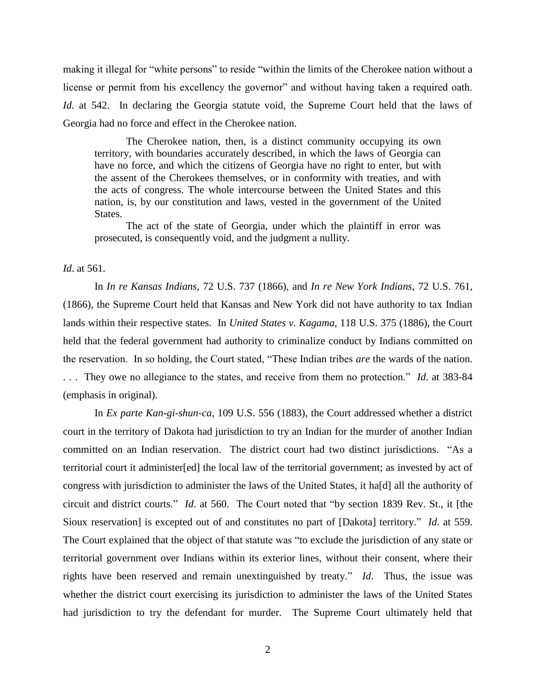making it illegal for "white persons" to reside "within the limits of the Cherokee nation without a license or permit from his excellency the governor" and without having taken a required oath. *Id.* at 542. In declaring the Georgia statute void, the Supreme Court held that the laws of Georgia had no force and effect in the Cherokee nation.

The Cherokee nation, then, is a distinct community occupying its own territory, with boundaries accurately described, in which the laws of Georgia can have no force, and which the citizens of Georgia have no right to enter, but with the assent of the Cherokees themselves, or in conformity with treaties, and with the acts of congress. The whole intercourse between the United States and this nation, is, by our constitution and laws, vested in the government of the United States.

The act of the state of Georgia, under which the plaintiff in error was prosecuted, is consequently void, and the judgment a nullity.

### *Id*. at 561.

In *In re Kansas Indians*, 72 U.S. 737 (1866), and *In re New York Indians*, 72 U.S. 761, (1866), the Supreme Court held that Kansas and New York did not have authority to tax Indian lands within their respective states. In *United States v. Kagama*, 118 U.S. 375 (1886), the Court held that the federal government had authority to criminalize conduct by Indians committed on the reservation. In so holding, the Court stated, "These Indian tribes *are* the wards of the nation. . . . They owe no allegiance to the states, and receive from them no protection." *Id*. at 383-84 (emphasis in original).

In *Ex parte Kan-gi-shun-ca*, 109 U.S. 556 (1883), the Court addressed whether a district court in the territory of Dakota had jurisdiction to try an Indian for the murder of another Indian committed on an Indian reservation. The district court had two distinct jurisdictions. "As a territorial court it administer[ed] the local law of the territorial government; as invested by act of congress with jurisdiction to administer the laws of the United States, it ha[d] all the authority of circuit and district courts." *Id*. at 560. The Court noted that "by section 1839 Rev. St., it [the Sioux reservation] is excepted out of and constitutes no part of [Dakota] territory." *Id*. at 559. The Court explained that the object of that statute was "to exclude the jurisdiction of any state or territorial government over Indians within its exterior lines, without their consent, where their rights have been reserved and remain unextinguished by treaty." *Id*. Thus, the issue was whether the district court exercising its jurisdiction to administer the laws of the United States had jurisdiction to try the defendant for murder. The Supreme Court ultimately held that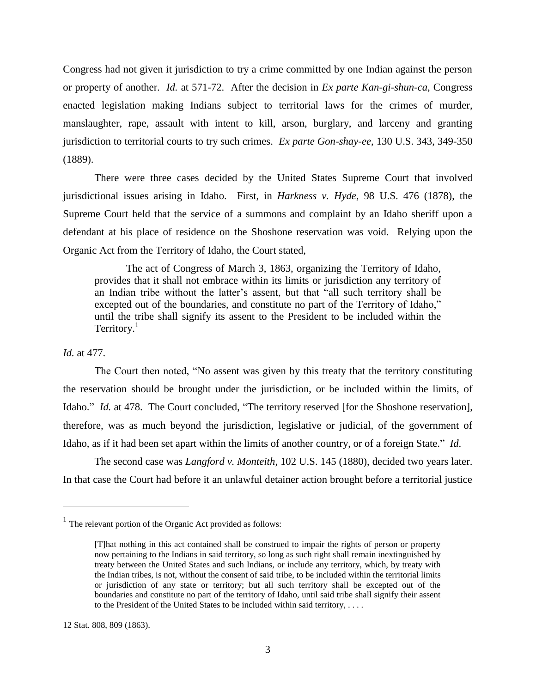Congress had not given it jurisdiction to try a crime committed by one Indian against the person or property of another. *Id.* at 571-72. After the decision in *Ex parte Kan-gi-shun-ca*, Congress enacted legislation making Indians subject to territorial laws for the crimes of murder, manslaughter, rape, assault with intent to kill, arson, burglary, and larceny and granting jurisdiction to territorial courts to try such crimes. *Ex parte Gon-shay-ee*, 130 U.S. 343, 349-350 (1889).

There were three cases decided by the United States Supreme Court that involved jurisdictional issues arising in Idaho. First, in *Harkness v. Hyde*, 98 U.S. 476 (1878), the Supreme Court held that the service of a summons and complaint by an Idaho sheriff upon a defendant at his place of residence on the Shoshone reservation was void. Relying upon the Organic Act from the Territory of Idaho, the Court stated,

The act of Congress of March 3, 1863, organizing the Territory of Idaho, provides that it shall not embrace within its limits or jurisdiction any territory of an Indian tribe without the latter"s assent, but that "all such territory shall be excepted out of the boundaries, and constitute no part of the Territory of Idaho," until the tribe shall signify its assent to the President to be included within the Territory.<sup>1</sup>

## *Id.* at 477.

 $\overline{a}$ 

The Court then noted, "No assent was given by this treaty that the territory constituting the reservation should be brought under the jurisdiction, or be included within the limits, of Idaho." *Id.* at 478. The Court concluded, "The territory reserved [for the Shoshone reservation], therefore, was as much beyond the jurisdiction, legislative or judicial, of the government of Idaho, as if it had been set apart within the limits of another country, or of a foreign State." *Id*.

The second case was *Langford v. Monteith*, 102 U.S. 145 (1880), decided two years later. In that case the Court had before it an unlawful detainer action brought before a territorial justice

 $<sup>1</sup>$  The relevant portion of the Organic Act provided as follows:</sup>

<sup>[</sup>T]hat nothing in this act contained shall be construed to impair the rights of person or property now pertaining to the Indians in said territory, so long as such right shall remain inextinguished by treaty between the United States and such Indians, or include any territory, which, by treaty with the Indian tribes, is not, without the consent of said tribe, to be included within the territorial limits or jurisdiction of any state or territory; but all such territory shall be excepted out of the boundaries and constitute no part of the territory of Idaho, until said tribe shall signify their assent to the President of the United States to be included within said territory, . . . .

<sup>12</sup> Stat. 808, 809 (1863).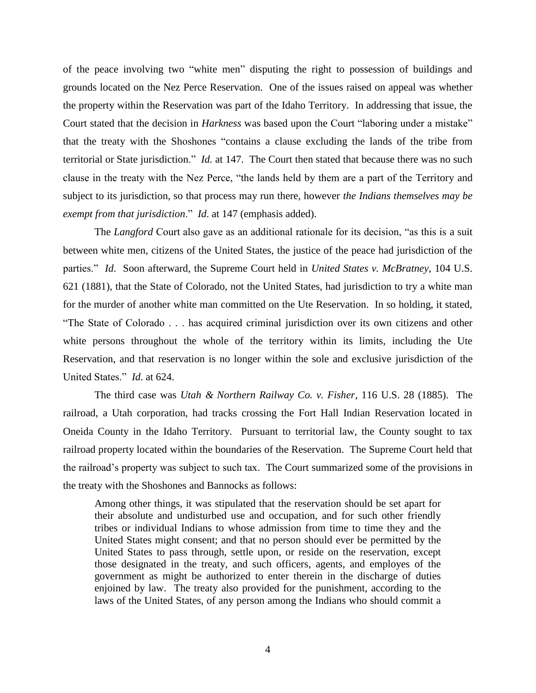of the peace involving two "white men" disputing the right to possession of buildings and grounds located on the Nez Perce Reservation. One of the issues raised on appeal was whether the property within the Reservation was part of the Idaho Territory. In addressing that issue, the Court stated that the decision in *Harkness* was based upon the Court "laboring under a mistake" that the treaty with the Shoshones "contains a clause excluding the lands of the tribe from territorial or State jurisdiction." *Id.* at 147. The Court then stated that because there was no such clause in the treaty with the Nez Perce, "the lands held by them are a part of the Territory and subject to its jurisdiction, so that process may run there, however *the Indians themselves may be exempt from that jurisdiction*." *Id*. at 147 (emphasis added).

The *Langford* Court also gave as an additional rationale for its decision, "as this is a suit between white men, citizens of the United States, the justice of the peace had jurisdiction of the parties." *Id*. Soon afterward, the Supreme Court held in *United States v. McBratney*, 104 U.S. 621 (1881), that the State of Colorado, not the United States, had jurisdiction to try a white man for the murder of another white man committed on the Ute Reservation. In so holding, it stated, "The State of Colorado . . . has acquired criminal jurisdiction over its own citizens and other white persons throughout the whole of the territory within its limits, including the Ute Reservation, and that reservation is no longer within the sole and exclusive jurisdiction of the United States." *Id*. at 624.

The third case was *Utah & Northern Railway Co. v. Fisher*, 116 U.S. 28 (1885). The railroad, a Utah corporation, had tracks crossing the Fort Hall Indian Reservation located in Oneida County in the Idaho Territory. Pursuant to territorial law, the County sought to tax railroad property located within the boundaries of the Reservation. The Supreme Court held that the railroad"s property was subject to such tax. The Court summarized some of the provisions in the treaty with the Shoshones and Bannocks as follows:

Among other things, it was stipulated that the reservation should be set apart for their absolute and undisturbed use and occupation, and for such other friendly tribes or individual Indians to whose admission from time to time they and the United States might consent; and that no person should ever be permitted by the United States to pass through, settle upon, or reside on the reservation, except those designated in the treaty, and such officers, agents, and employes of the government as might be authorized to enter therein in the discharge of duties enjoined by law. The treaty also provided for the punishment, according to the laws of the United States, of any person among the Indians who should commit a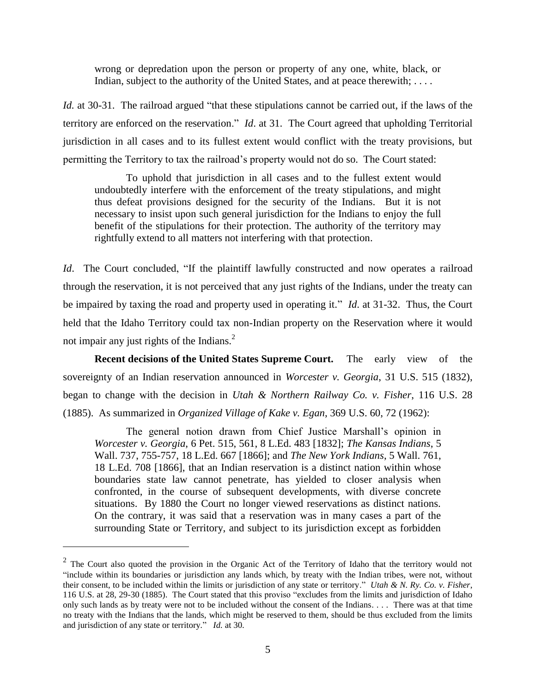wrong or depredation upon the person or property of any one, white, black, or Indian, subject to the authority of the United States, and at peace therewith; ....

*Id.* at 30-31. The railroad argued "that these stipulations cannot be carried out, if the laws of the territory are enforced on the reservation." *Id*. at 31. The Court agreed that upholding Territorial jurisdiction in all cases and to its fullest extent would conflict with the treaty provisions, but permitting the Territory to tax the railroad"s property would not do so. The Court stated:

To uphold that jurisdiction in all cases and to the fullest extent would undoubtedly interfere with the enforcement of the treaty stipulations, and might thus defeat provisions designed for the security of the Indians. But it is not necessary to insist upon such general jurisdiction for the Indians to enjoy the full benefit of the stipulations for their protection. The authority of the territory may rightfully extend to all matters not interfering with that protection.

*Id.* The Court concluded, "If the plaintiff lawfully constructed and now operates a railroad through the reservation, it is not perceived that any just rights of the Indians, under the treaty can be impaired by taxing the road and property used in operating it." *Id*. at 31-32. Thus, the Court held that the Idaho Territory could tax non-Indian property on the Reservation where it would not impair any just rights of the Indians.<sup>2</sup>

**Recent decisions of the United States Supreme Court.** The early view of the sovereignty of an Indian reservation announced in *Worcester v. Georgia*, 31 U.S. 515 (1832), began to change with the decision in *Utah & Northern Railway Co. v. Fisher*, 116 U.S. 28 (1885). As summarized in *Organized Village of Kake v. Egan*, 369 U.S. 60, 72 (1962):

The general notion drawn from Chief Justice Marshall"s opinion in *Worcester v. Georgia*, 6 Pet. 515, 561, 8 L.Ed. 483 [1832]; *The Kansas Indians*, 5 Wall. 737, 755-757, 18 L.Ed. 667 [1866]; and *The New York Indians*, 5 Wall. 761, 18 L.Ed. 708 [1866], that an Indian reservation is a distinct nation within whose boundaries state law cannot penetrate, has yielded to closer analysis when confronted, in the course of subsequent developments, with diverse concrete situations. By 1880 the Court no longer viewed reservations as distinct nations. On the contrary, it was said that a reservation was in many cases a part of the surrounding State or Territory, and subject to its jurisdiction except as forbidden

 $\overline{a}$ 

 $2$  The Court also quoted the provision in the Organic Act of the Territory of Idaho that the territory would not "include within its boundaries or jurisdiction any lands which, by treaty with the Indian tribes, were not, without their consent, to be included within the limits or jurisdiction of any state or territory." *Utah & N. Ry. Co. v. Fisher*, 116 U.S. at 28, 29-30 (1885). The Court stated that this proviso "excludes from the limits and jurisdiction of Idaho only such lands as by treaty were not to be included without the consent of the Indians. . . . There was at that time no treaty with the Indians that the lands, which might be reserved to them, should be thus excluded from the limits and jurisdiction of any state or territory." *Id.* at 30.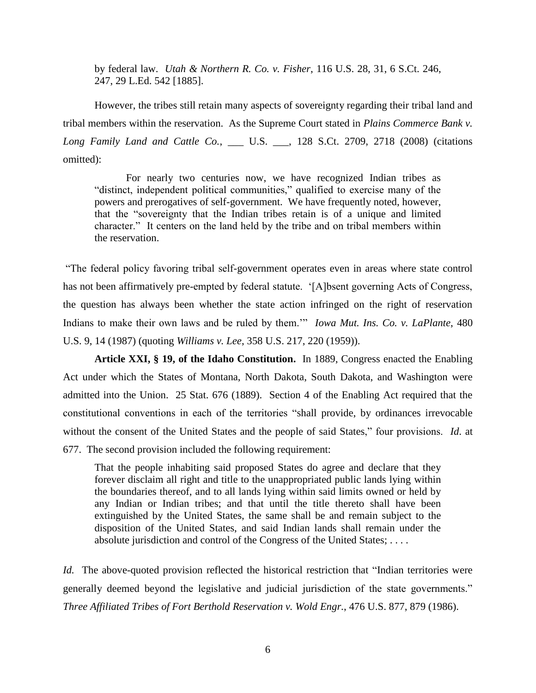by federal law. *Utah & Northern R. Co. v. Fisher*, 116 U.S. 28, 31, 6 S.Ct. 246, 247, 29 L.Ed. 542 [1885].

However, the tribes still retain many aspects of sovereignty regarding their tribal land and tribal members within the reservation. As the Supreme Court stated in *Plains Commerce Bank v. Long Family Land and Cattle Co.*, \_\_\_ U.S. \_\_\_, 128 S.Ct. 2709, 2718 (2008) (citations omitted):

For nearly two centuries now, we have recognized Indian tribes as "distinct, independent political communities," qualified to exercise many of the powers and prerogatives of self-government. We have frequently noted, however, that the "sovereignty that the Indian tribes retain is of a unique and limited character." It centers on the land held by the tribe and on tribal members within the reservation.

"The federal policy favoring tribal self-government operates even in areas where state control has not been affirmatively pre-empted by federal statute. "[A]bsent governing Acts of Congress, the question has always been whether the state action infringed on the right of reservation Indians to make their own laws and be ruled by them."" *Iowa Mut. Ins. Co. v. LaPlante*, 480 U.S. 9, 14 (1987) (quoting *Williams v. Lee*, 358 U.S. 217, 220 (1959)).

**Article XXI, § 19, of the Idaho Constitution.** In 1889, Congress enacted the Enabling Act under which the States of Montana, North Dakota, South Dakota, and Washington were admitted into the Union. 25 Stat. 676 (1889). Section 4 of the Enabling Act required that the constitutional conventions in each of the territories "shall provide, by ordinances irrevocable without the consent of the United States and the people of said States," four provisions. *Id*. at 677. The second provision included the following requirement:

That the people inhabiting said proposed States do agree and declare that they forever disclaim all right and title to the unappropriated public lands lying within the boundaries thereof, and to all lands lying within said limits owned or held by any Indian or Indian tribes; and that until the title thereto shall have been extinguished by the United States, the same shall be and remain subject to the disposition of the United States, and said Indian lands shall remain under the absolute jurisdiction and control of the Congress of the United States; . . . .

*Id.* The above-quoted provision reflected the historical restriction that "Indian territories were generally deemed beyond the legislative and judicial jurisdiction of the state governments." *Three Affiliated Tribes of Fort Berthold Reservation v. Wold Engr.*, 476 U.S. 877, 879 (1986).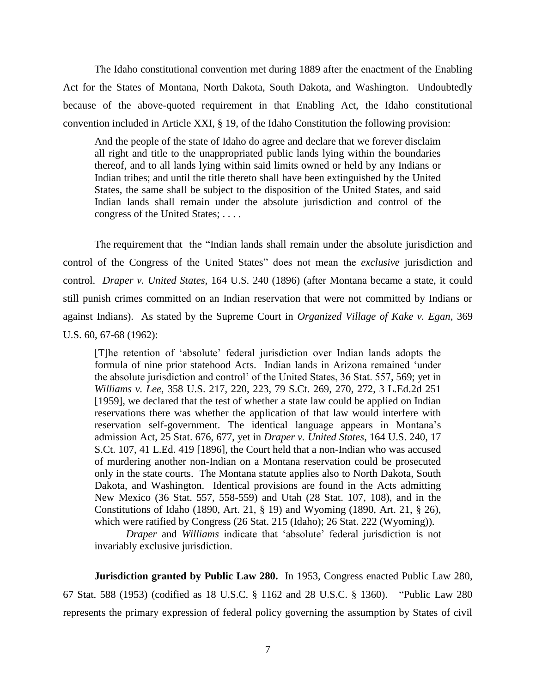The Idaho constitutional convention met during 1889 after the enactment of the Enabling Act for the States of Montana, North Dakota, South Dakota, and Washington. Undoubtedly because of the above-quoted requirement in that Enabling Act, the Idaho constitutional convention included in Article XXI, § 19, of the Idaho Constitution the following provision:

And the people of the state of Idaho do agree and declare that we forever disclaim all right and title to the unappropriated public lands lying within the boundaries thereof, and to all lands lying within said limits owned or held by any Indians or Indian tribes; and until the title thereto shall have been extinguished by the United States, the same shall be subject to the disposition of the United States, and said Indian lands shall remain under the absolute jurisdiction and control of the congress of the United States; . . . .

The requirement that the "Indian lands shall remain under the absolute jurisdiction and control of the Congress of the United States" does not mean the *exclusive* jurisdiction and control. *Draper v. United States*, 164 U.S. 240 (1896) (after Montana became a state, it could still punish crimes committed on an Indian reservation that were not committed by Indians or against Indians). As stated by the Supreme Court in *Organized Village of Kake v. Egan*, 369 U.S. 60, 67-68 (1962):

[T]he retention of "absolute" federal jurisdiction over Indian lands adopts the formula of nine prior statehood Acts. Indian lands in Arizona remained "under the absolute jurisdiction and control" of the United States, 36 Stat. 557, 569; yet in *Williams v. Lee*, 358 U.S. 217, 220, 223, 79 S.Ct. 269, 270, 272, 3 L.Ed.2d 251 [1959], we declared that the test of whether a state law could be applied on Indian reservations there was whether the application of that law would interfere with reservation self-government. The identical language appears in Montana"s admission Act, 25 Stat. 676, 677, yet in *Draper v. United States*, 164 U.S. 240, 17 S.Ct. 107, 41 L.Ed. 419 [1896], the Court held that a non-Indian who was accused of murdering another non-Indian on a Montana reservation could be prosecuted only in the state courts. The Montana statute applies also to North Dakota, South Dakota, and Washington. Identical provisions are found in the Acts admitting New Mexico (36 Stat. 557, 558-559) and Utah (28 Stat. 107, 108), and in the Constitutions of Idaho (1890, Art. 21, § 19) and Wyoming (1890, Art. 21, § 26), which were ratified by Congress (26 Stat. 215 (Idaho); 26 Stat. 222 (Wyoming)).

*Draper* and *Williams* indicate that "absolute" federal jurisdiction is not invariably exclusive jurisdiction.

**Jurisdiction granted by Public Law 280.** In 1953, Congress enacted Public Law 280, 67 Stat. 588 (1953) (codified as 18 U.S.C. § 1162 and 28 U.S.C. § 1360). "Public Law 280 represents the primary expression of federal policy governing the assumption by States of civil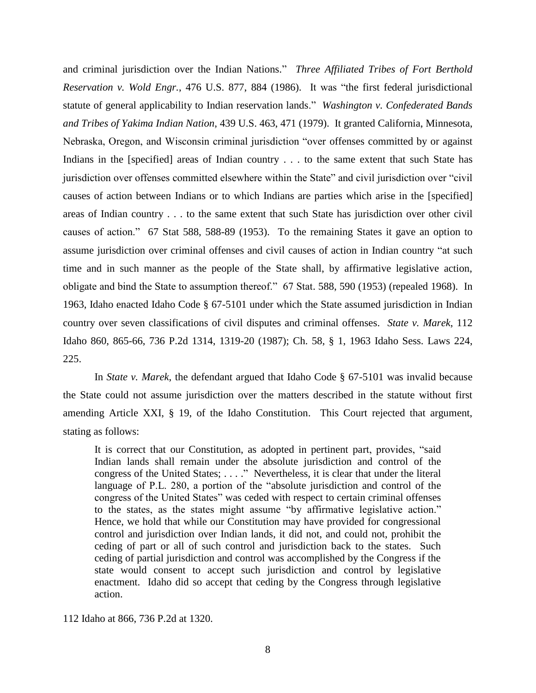and criminal jurisdiction over the Indian Nations." *Three Affiliated Tribes of Fort Berthold Reservation v. Wold Engr.*, 476 U.S. 877, 884 (1986). It was "the first federal jurisdictional statute of general applicability to Indian reservation lands." *Washington v. Confederated Bands and Tribes of Yakima Indian Nation*, 439 U.S. 463, 471 (1979). It granted California, Minnesota, Nebraska, Oregon, and Wisconsin criminal jurisdiction "over offenses committed by or against Indians in the [specified] areas of Indian country . . . to the same extent that such State has jurisdiction over offenses committed elsewhere within the State" and civil jurisdiction over "civil causes of action between Indians or to which Indians are parties which arise in the [specified] areas of Indian country . . . to the same extent that such State has jurisdiction over other civil causes of action." 67 Stat 588, 588-89 (1953). To the remaining States it gave an option to assume jurisdiction over criminal offenses and civil causes of action in Indian country "at such time and in such manner as the people of the State shall, by affirmative legislative action, obligate and bind the State to assumption thereof." 67 Stat. 588, 590 (1953) (repealed 1968). In 1963, Idaho enacted Idaho Code § 67-5101 under which the State assumed jurisdiction in Indian country over seven classifications of civil disputes and criminal offenses. *State v. Marek*, 112 Idaho 860, 865-66, 736 P.2d 1314, 1319-20 (1987); Ch. 58, § 1, 1963 Idaho Sess. Laws 224, 225.

In *State v. Marek*, the defendant argued that Idaho Code § 67-5101 was invalid because the State could not assume jurisdiction over the matters described in the statute without first amending Article XXI, § 19, of the Idaho Constitution. This Court rejected that argument, stating as follows:

It is correct that our Constitution, as adopted in pertinent part, provides, "said Indian lands shall remain under the absolute jurisdiction and control of the congress of the United States; . . . ." Nevertheless, it is clear that under the literal language of P.L. 280, a portion of the "absolute jurisdiction and control of the congress of the United States" was ceded with respect to certain criminal offenses to the states, as the states might assume "by affirmative legislative action." Hence, we hold that while our Constitution may have provided for congressional control and jurisdiction over Indian lands, it did not, and could not, prohibit the ceding of part or all of such control and jurisdiction back to the states. Such ceding of partial jurisdiction and control was accomplished by the Congress if the state would consent to accept such jurisdiction and control by legislative enactment. Idaho did so accept that ceding by the Congress through legislative action.

112 Idaho at 866, 736 P.2d at 1320.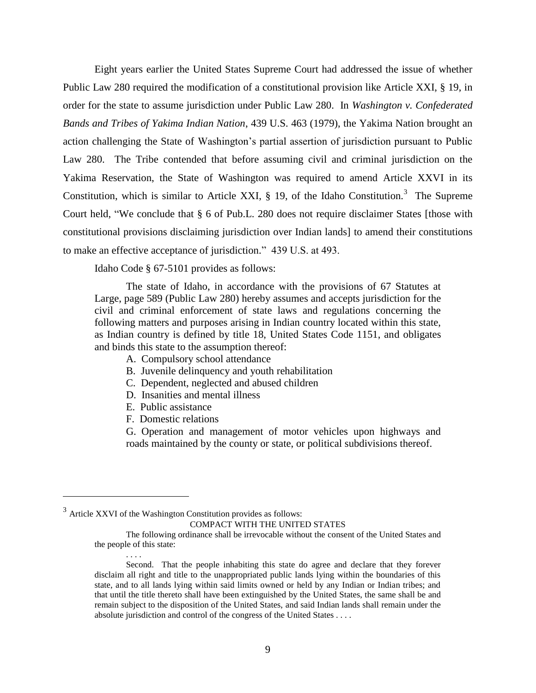Eight years earlier the United States Supreme Court had addressed the issue of whether Public Law 280 required the modification of a constitutional provision like Article XXI, § 19, in order for the state to assume jurisdiction under Public Law 280. In *Washington v. Confederated Bands and Tribes of Yakima Indian Nation*, 439 U.S. 463 (1979), the Yakima Nation brought an action challenging the State of Washington's partial assertion of jurisdiction pursuant to Public Law 280. The Tribe contended that before assuming civil and criminal jurisdiction on the Yakima Reservation, the State of Washington was required to amend Article XXVI in its Constitution, which is similar to Article XXI,  $\S$  19, of the Idaho Constitution.<sup>3</sup> The Supreme Court held, "We conclude that § 6 of Pub.L. 280 does not require disclaimer States [those with constitutional provisions disclaiming jurisdiction over Indian lands] to amend their constitutions to make an effective acceptance of jurisdiction." 439 U.S. at 493.

Idaho Code § 67-5101 provides as follows:

The state of Idaho, in accordance with the provisions of 67 Statutes at Large, page 589 (Public Law 280) hereby assumes and accepts jurisdiction for the civil and criminal enforcement of state laws and regulations concerning the following matters and purposes arising in Indian country located within this state, as Indian country is defined by title 18, United States Code 1151, and obligates and binds this state to the assumption thereof:

- A. Compulsory school attendance
- B. Juvenile delinquency and youth rehabilitation
- C. Dependent, neglected and abused children
- D. Insanities and mental illness
- E. Public assistance
- F. Domestic relations

. . . .

 $\overline{a}$ 

G. Operation and management of motor vehicles upon highways and roads maintained by the county or state, or political subdivisions thereof.

The following ordinance shall be irrevocable without the consent of the United States and the people of this state:

 $3$  Article XXVI of the Washington Constitution provides as follows: COMPACT WITH THE UNITED STATES

Second. That the people inhabiting this state do agree and declare that they forever disclaim all right and title to the unappropriated public lands lying within the boundaries of this state, and to all lands lying within said limits owned or held by any Indian or Indian tribes; and that until the title thereto shall have been extinguished by the United States, the same shall be and remain subject to the disposition of the United States, and said Indian lands shall remain under the absolute jurisdiction and control of the congress of the United States . . . .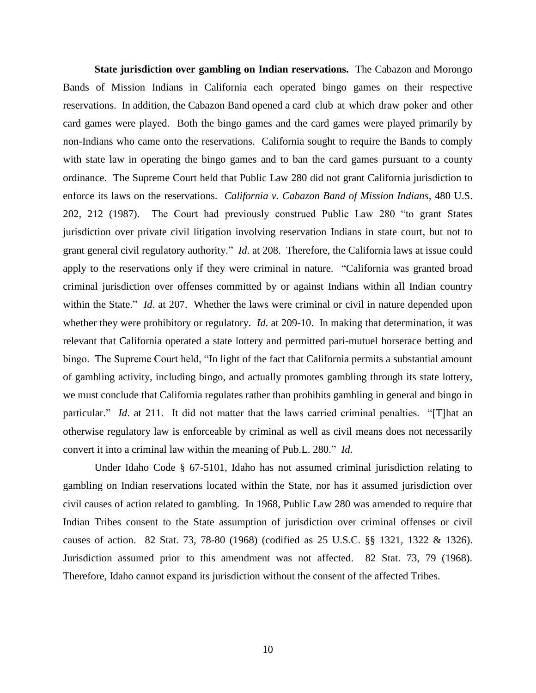**State jurisdiction over gambling on Indian reservations.** The Cabazon and Morongo Bands of Mission Indians in California each operated bingo games on their respective reservations. In addition, the Cabazon Band opened a card club at which draw poker and other card games were played. Both the bingo games and the card games were played primarily by non-Indians who came onto the reservations. California sought to require the Bands to comply with state law in operating the bingo games and to ban the card games pursuant to a county ordinance. The Supreme Court held that Public Law 280 did not grant California jurisdiction to enforce its laws on the reservations. *California v. Cabazon Band of Mission Indians*, 480 U.S. 202, 212 (1987). The Court had previously construed Public Law 280 "to grant States jurisdiction over private civil litigation involving reservation Indians in state court, but not to grant general civil regulatory authority." *Id*. at 208. Therefore, the California laws at issue could apply to the reservations only if they were criminal in nature. "California was granted broad criminal jurisdiction over offenses committed by or against Indians within all Indian country within the State." *Id.* at 207. Whether the laws were criminal or civil in nature depended upon whether they were prohibitory or regulatory. *Id*. at 209-10. In making that determination, it was relevant that California operated a state lottery and permitted pari-mutuel horserace betting and bingo. The Supreme Court held, "In light of the fact that California permits a substantial amount of gambling activity, including bingo, and actually promotes gambling through its state lottery, we must conclude that California regulates rather than prohibits gambling in general and bingo in particular." *Id*. at 211. It did not matter that the laws carried criminal penalties. "[T]hat an otherwise regulatory law is enforceable by criminal as well as civil means does not necessarily convert it into a criminal law within the meaning of Pub.L. 280." *Id*.

Under Idaho Code § 67-5101, Idaho has not assumed criminal jurisdiction relating to gambling on Indian reservations located within the State, nor has it assumed jurisdiction over civil causes of action related to gambling. In 1968, Public Law 280 was amended to require that Indian Tribes consent to the State assumption of jurisdiction over criminal offenses or civil causes of action. 82 Stat. 73, 78-80 (1968) (codified as 25 U.S.C. §§ 1321, 1322 & 1326). Jurisdiction assumed prior to this amendment was not affected. 82 Stat. 73, 79 (1968). Therefore, Idaho cannot expand its jurisdiction without the consent of the affected Tribes.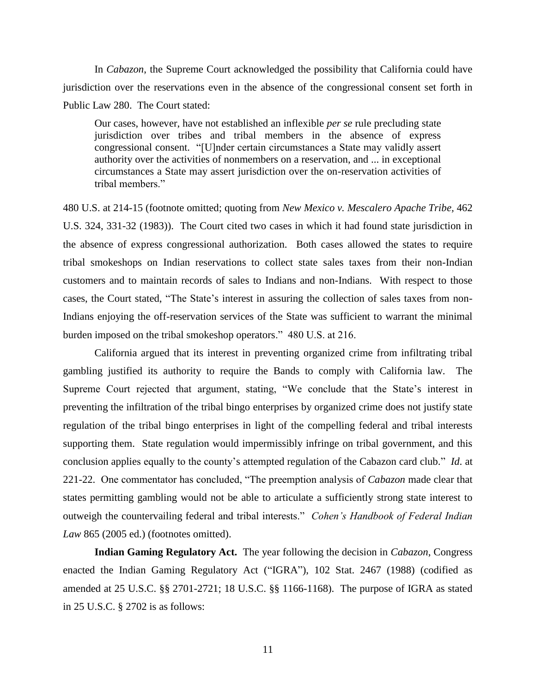In *Cabazon*, the Supreme Court acknowledged the possibility that California could have jurisdiction over the reservations even in the absence of the congressional consent set forth in Public Law 280. The Court stated:

Our cases, however, have not established an inflexible *per se* rule precluding state jurisdiction over tribes and tribal members in the absence of express congressional consent. "[U]nder certain circumstances a State may validly assert authority over the activities of nonmembers on a reservation, and ... in exceptional circumstances a State may assert jurisdiction over the on-reservation activities of tribal members."

480 U.S. at 214-15 (footnote omitted; quoting from *New Mexico v. Mescalero Apache Tribe,* 462 U.S. 324, 331-32 (1983)). The Court cited two cases in which it had found state jurisdiction in the absence of express congressional authorization. Both cases allowed the states to require tribal smokeshops on Indian reservations to collect state sales taxes from their non-Indian customers and to maintain records of sales to Indians and non-Indians. With respect to those cases, the Court stated, "The State's interest in assuring the collection of sales taxes from non-Indians enjoying the off-reservation services of the State was sufficient to warrant the minimal burden imposed on the tribal smokeshop operators." 480 U.S. at 216.

California argued that its interest in preventing organized crime from infiltrating tribal gambling justified its authority to require the Bands to comply with California law. The Supreme Court rejected that argument, stating, "We conclude that the State's interest in preventing the infiltration of the tribal bingo enterprises by organized crime does not justify state regulation of the tribal bingo enterprises in light of the compelling federal and tribal interests supporting them. State regulation would impermissibly infringe on tribal government, and this conclusion applies equally to the county"s attempted regulation of the Cabazon card club." *Id*. at 221-22. One commentator has concluded, "The preemption analysis of *Cabazon* made clear that states permitting gambling would not be able to articulate a sufficiently strong state interest to outweigh the countervailing federal and tribal interests." *Cohen's Handbook of Federal Indian Law* 865 (2005 ed.) (footnotes omitted).

**Indian Gaming Regulatory Act.** The year following the decision in *Cabazon*, Congress enacted the Indian Gaming Regulatory Act ("IGRA"), 102 Stat. 2467 (1988) (codified as amended at 25 U.S.C. §§ 2701-2721; 18 U.S.C. §§ 1166-1168). The purpose of IGRA as stated in 25 U.S.C. § 2702 is as follows: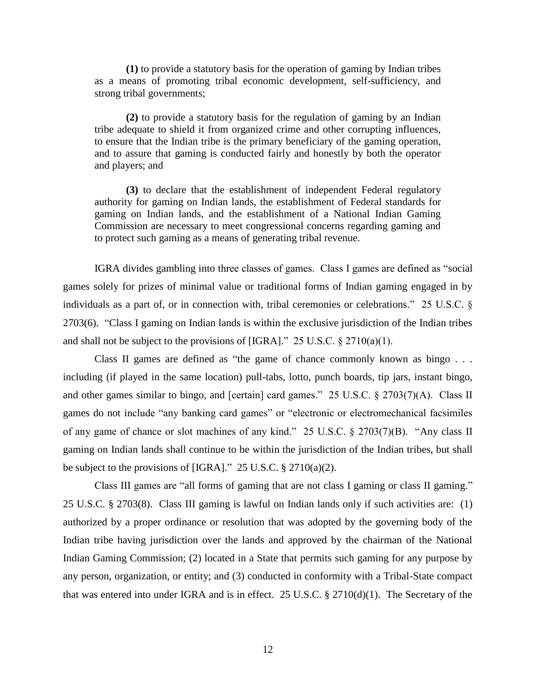**(1)** to provide a statutory basis for the operation of gaming by Indian tribes as a means of promoting tribal economic development, self-sufficiency, and strong tribal governments;

**(2)** to provide a statutory basis for the regulation of gaming by an Indian tribe adequate to shield it from organized crime and other corrupting influences, to ensure that the Indian tribe is the primary beneficiary of the gaming operation, and to assure that gaming is conducted fairly and honestly by both the operator and players; and

**(3)** to declare that the establishment of independent Federal regulatory authority for gaming on Indian lands, the establishment of Federal standards for gaming on Indian lands, and the establishment of a National Indian Gaming Commission are necessary to meet congressional concerns regarding gaming and to protect such gaming as a means of generating tribal revenue.

IGRA divides gambling into three classes of games. Class I games are defined as "social games solely for prizes of minimal value or traditional forms of Indian gaming engaged in by individuals as a part of, or in connection with, tribal ceremonies or celebrations." 25 U.S.C. § 2703(6). "Class I gaming on Indian lands is within the exclusive jurisdiction of the Indian tribes and shall not be subject to the provisions of [IGRA]." 25 U.S.C.  $\S 2710(a)(1)$ .

Class II games are defined as "the game of chance commonly known as bingo . . . including (if played in the same location) pull-tabs, lotto, punch boards, tip jars, instant bingo, and other games similar to bingo, and [certain] card games." 25 U.S.C. § 2703(7)(A). Class II games do not include "any banking card games" or "electronic or electromechanical facsimiles of any game of chance or slot machines of any kind." 25 U.S.C. § 2703(7)(B). "Any class II gaming on Indian lands shall continue to be within the jurisdiction of the Indian tribes, but shall be subject to the provisions of [IGRA]." 25 U.S.C.  $\S 2710(a)(2)$ .

Class III games are "all forms of gaming that are not class I gaming or class II gaming." 25 U.S.C. § 2703(8). Class III gaming is lawful on Indian lands only if such activities are: (1) authorized by a proper ordinance or resolution that was adopted by the governing body of the Indian tribe having jurisdiction over the lands and approved by the chairman of the National Indian Gaming Commission; (2) located in a State that permits such gaming for any purpose by any person, organization, or entity; and (3) conducted in conformity with a Tribal-State compact that was entered into under IGRA and is in effect. 25 U.S.C. § 2710(d)(1). The Secretary of the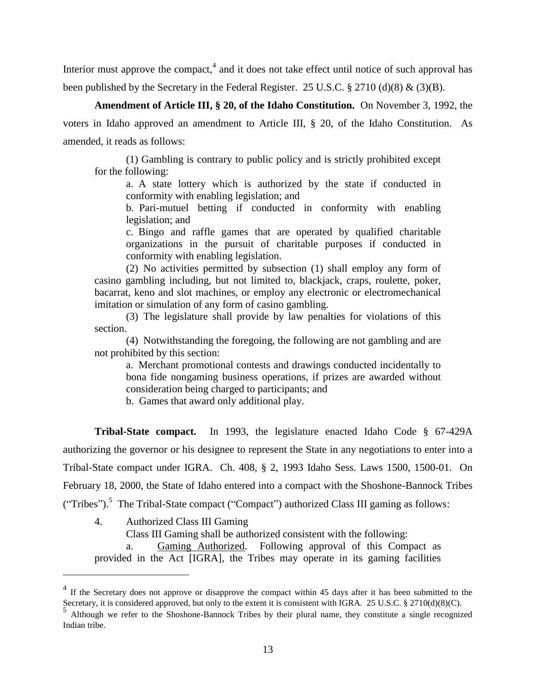Interior must approve the compact, $4$  and it does not take effect until notice of such approval has been published by the Secretary in the Federal Register. 25 U.S.C.  $\S 2710$  (d)(8) & (3)(B).

**Amendment of Article III, § 20, of the Idaho Constitution.** On November 3, 1992, the voters in Idaho approved an amendment to Article III, § 20, of the Idaho Constitution. As amended, it reads as follows:

(1) Gambling is contrary to public policy and is strictly prohibited except for the following:

a. A state lottery which is authorized by the state if conducted in conformity with enabling legislation; and

b. Pari-mutuel betting if conducted in conformity with enabling legislation; and

c. Bingo and raffle games that are operated by qualified charitable organizations in the pursuit of charitable purposes if conducted in conformity with enabling legislation.

(2) No activities permitted by subsection (1) shall employ any form of casino gambling including, but not limited to, blackjack, craps, roulette, poker, bacarrat, keno and slot machines, or employ any electronic or electromechanical imitation or simulation of any form of casino gambling.

(3) The legislature shall provide by law penalties for violations of this section.

(4) Notwithstanding the foregoing, the following are not gambling and are not prohibited by this section:

a. Merchant promotional contests and drawings conducted incidentally to bona fide nongaming business operations, if prizes are awarded without consideration being charged to participants; and

b. Games that award only additional play.

**Tribal-State compact.** In 1993, the legislature enacted Idaho Code § 67-429A authorizing the governor or his designee to represent the State in any negotiations to enter into a Tribal-State compact under IGRA. Ch. 408, § 2, 1993 Idaho Sess. Laws 1500, 1500-01. On February 18, 2000, the State of Idaho entered into a compact with the Shoshone-Bannock Tribes ("Tribes").<sup>5</sup> The Tribal-State compact ("Compact") authorized Class III gaming as follows:

4. Authorized Class III Gaming

 $\overline{a}$ 

Class III Gaming shall be authorized consistent with the following:

a. Gaming Authorized. Following approval of this Compact as provided in the Act [IGRA], the Tribes may operate in its gaming facilities

<sup>&</sup>lt;sup>4</sup> If the Secretary does not approve or disapprove the compact within 45 days after it has been submitted to the Secretary, it is considered approved, but only to the extent it is consistent with IGRA. 25 U.S.C. § 2710(d)(8)(C).

Although we refer to the Shoshone-Bannock Tribes by their plural name, they constitute a single recognized Indian tribe.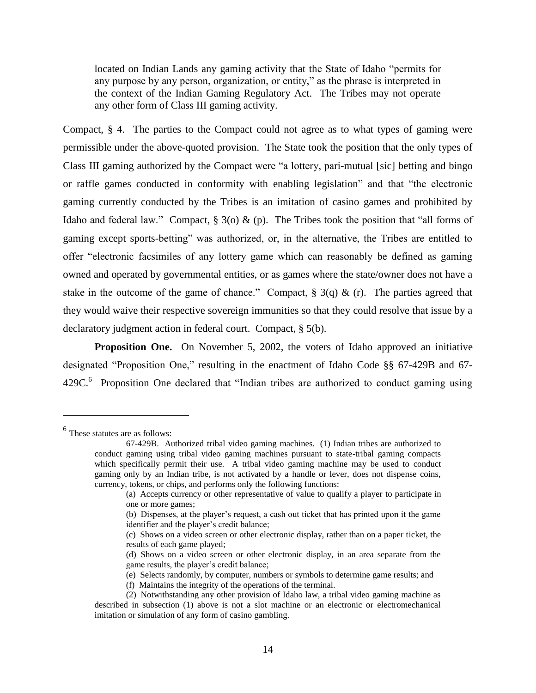located on Indian Lands any gaming activity that the State of Idaho "permits for any purpose by any person, organization, or entity," as the phrase is interpreted in the context of the Indian Gaming Regulatory Act. The Tribes may not operate any other form of Class III gaming activity.

Compact, § 4. The parties to the Compact could not agree as to what types of gaming were permissible under the above-quoted provision. The State took the position that the only types of Class III gaming authorized by the Compact were "a lottery, pari-mutual [sic] betting and bingo or raffle games conducted in conformity with enabling legislation" and that "the electronic gaming currently conducted by the Tribes is an imitation of casino games and prohibited by Idaho and federal law." Compact,  $\S 3$ (o) & (p). The Tribes took the position that "all forms of gaming except sports-betting" was authorized, or, in the alternative, the Tribes are entitled to offer "electronic facsimiles of any lottery game which can reasonably be defined as gaming owned and operated by governmental entities, or as games where the state/owner does not have a stake in the outcome of the game of chance." Compact,  $\S 3(q) \& (r)$ . The parties agreed that they would waive their respective sovereign immunities so that they could resolve that issue by a declaratory judgment action in federal court. Compact, § 5(b).

**Proposition One.** On November 5, 2002, the voters of Idaho approved an initiative designated "Proposition One," resulting in the enactment of Idaho Code §§ 67-429B and 67- 429C.<sup>6</sup> Proposition One declared that "Indian tribes are authorized to conduct gaming using

 $\overline{a}$ 

<sup>6</sup> These statutes are as follows:

<sup>67-429</sup>B. Authorized tribal video gaming machines. (1) Indian tribes are authorized to conduct gaming using tribal video gaming machines pursuant to state-tribal gaming compacts which specifically permit their use. A tribal video gaming machine may be used to conduct gaming only by an Indian tribe, is not activated by a handle or lever, does not dispense coins, currency, tokens, or chips, and performs only the following functions:

<sup>(</sup>a) Accepts currency or other representative of value to qualify a player to participate in one or more games;

<sup>(</sup>b) Dispenses, at the player"s request, a cash out ticket that has printed upon it the game identifier and the player's credit balance;

<sup>(</sup>c) Shows on a video screen or other electronic display, rather than on a paper ticket, the results of each game played;

<sup>(</sup>d) Shows on a video screen or other electronic display, in an area separate from the game results, the player's credit balance;

<sup>(</sup>e) Selects randomly, by computer, numbers or symbols to determine game results; and

<sup>(</sup>f) Maintains the integrity of the operations of the terminal.

<sup>(2)</sup> Notwithstanding any other provision of Idaho law, a tribal video gaming machine as described in subsection (1) above is not a slot machine or an electronic or electromechanical imitation or simulation of any form of casino gambling.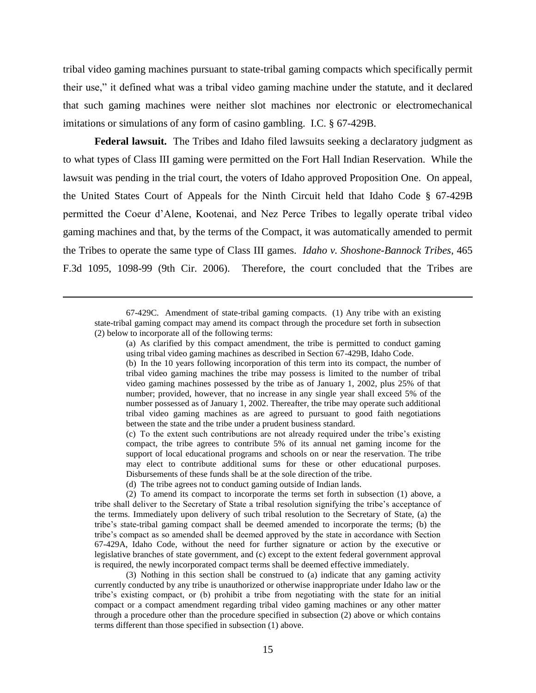tribal video gaming machines pursuant to state-tribal gaming compacts which specifically permit their use," it defined what was a tribal video gaming machine under the statute, and it declared that such gaming machines were neither slot machines nor electronic or electromechanical imitations or simulations of any form of casino gambling. I.C. § 67-429B.

**Federal lawsuit.** The Tribes and Idaho filed lawsuits seeking a declaratory judgment as to what types of Class III gaming were permitted on the Fort Hall Indian Reservation. While the lawsuit was pending in the trial court, the voters of Idaho approved Proposition One. On appeal, the United States Court of Appeals for the Ninth Circuit held that Idaho Code § 67-429B permitted the Coeur d"Alene, Kootenai, and Nez Perce Tribes to legally operate tribal video gaming machines and that, by the terms of the Compact, it was automatically amended to permit the Tribes to operate the same type of Class III games. *Idaho v. Shoshone-Bannock Tribes*, 465 F.3d 1095, 1098-99 (9th Cir. 2006). Therefore, the court concluded that the Tribes are

67-429C. Amendment of state-tribal gaming compacts. (1) Any tribe with an existing state-tribal gaming compact may amend its compact through the procedure set forth in subsection (2) below to incorporate all of the following terms:

 $\overline{a}$ 

(a) As clarified by this compact amendment, the tribe is permitted to conduct gaming using tribal video gaming machines as described in Section 67-429B, Idaho Code.

(b) In the 10 years following incorporation of this term into its compact, the number of tribal video gaming machines the tribe may possess is limited to the number of tribal video gaming machines possessed by the tribe as of January 1, 2002, plus 25% of that number; provided, however, that no increase in any single year shall exceed 5% of the number possessed as of January 1, 2002. Thereafter, the tribe may operate such additional tribal video gaming machines as are agreed to pursuant to good faith negotiations between the state and the tribe under a prudent business standard.

(c) To the extent such contributions are not already required under the tribe"s existing compact, the tribe agrees to contribute 5% of its annual net gaming income for the support of local educational programs and schools on or near the reservation. The tribe may elect to contribute additional sums for these or other educational purposes. Disbursements of these funds shall be at the sole direction of the tribe.

(d) The tribe agrees not to conduct gaming outside of Indian lands.

(2) To amend its compact to incorporate the terms set forth in subsection (1) above, a tribe shall deliver to the Secretary of State a tribal resolution signifying the tribe"s acceptance of the terms. Immediately upon delivery of such tribal resolution to the Secretary of State, (a) the tribe"s state-tribal gaming compact shall be deemed amended to incorporate the terms; (b) the tribe's compact as so amended shall be deemed approved by the state in accordance with Section 67-429A, Idaho Code, without the need for further signature or action by the executive or legislative branches of state government, and (c) except to the extent federal government approval is required, the newly incorporated compact terms shall be deemed effective immediately.

(3) Nothing in this section shall be construed to (a) indicate that any gaming activity currently conducted by any tribe is unauthorized or otherwise inappropriate under Idaho law or the tribe"s existing compact, or (b) prohibit a tribe from negotiating with the state for an initial compact or a compact amendment regarding tribal video gaming machines or any other matter through a procedure other than the procedure specified in subsection (2) above or which contains terms different than those specified in subsection (1) above.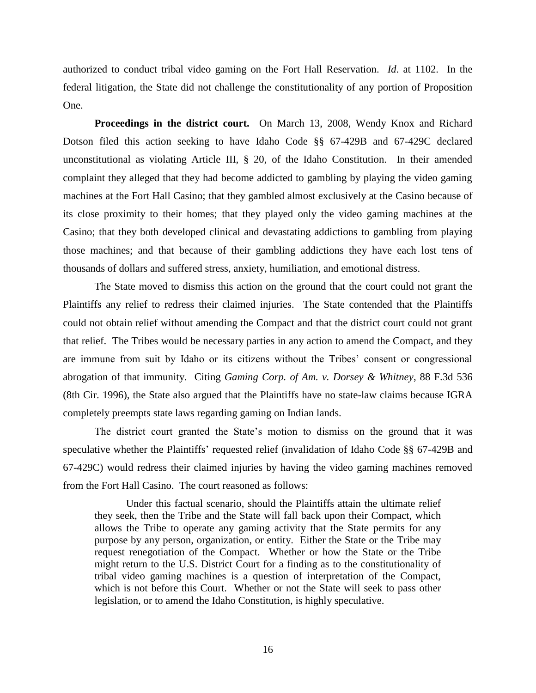authorized to conduct tribal video gaming on the Fort Hall Reservation. *Id*. at 1102. In the federal litigation, the State did not challenge the constitutionality of any portion of Proposition One.

**Proceedings in the district court.** On March 13, 2008, Wendy Knox and Richard Dotson filed this action seeking to have Idaho Code §§ 67-429B and 67-429C declared unconstitutional as violating Article III, § 20, of the Idaho Constitution. In their amended complaint they alleged that they had become addicted to gambling by playing the video gaming machines at the Fort Hall Casino; that they gambled almost exclusively at the Casino because of its close proximity to their homes; that they played only the video gaming machines at the Casino; that they both developed clinical and devastating addictions to gambling from playing those machines; and that because of their gambling addictions they have each lost tens of thousands of dollars and suffered stress, anxiety, humiliation, and emotional distress.

The State moved to dismiss this action on the ground that the court could not grant the Plaintiffs any relief to redress their claimed injuries. The State contended that the Plaintiffs could not obtain relief without amending the Compact and that the district court could not grant that relief. The Tribes would be necessary parties in any action to amend the Compact, and they are immune from suit by Idaho or its citizens without the Tribes" consent or congressional abrogation of that immunity. Citing *Gaming Corp. of Am. v. Dorsey & Whitney*, 88 F.3d 536 (8th Cir. 1996), the State also argued that the Plaintiffs have no state-law claims because IGRA completely preempts state laws regarding gaming on Indian lands.

The district court granted the State"s motion to dismiss on the ground that it was speculative whether the Plaintiffs' requested relief (invalidation of Idaho Code §§ 67-429B and 67-429C) would redress their claimed injuries by having the video gaming machines removed from the Fort Hall Casino. The court reasoned as follows:

Under this factual scenario, should the Plaintiffs attain the ultimate relief they seek, then the Tribe and the State will fall back upon their Compact, which allows the Tribe to operate any gaming activity that the State permits for any purpose by any person, organization, or entity. Either the State or the Tribe may request renegotiation of the Compact. Whether or how the State or the Tribe might return to the U.S. District Court for a finding as to the constitutionality of tribal video gaming machines is a question of interpretation of the Compact, which is not before this Court. Whether or not the State will seek to pass other legislation, or to amend the Idaho Constitution, is highly speculative.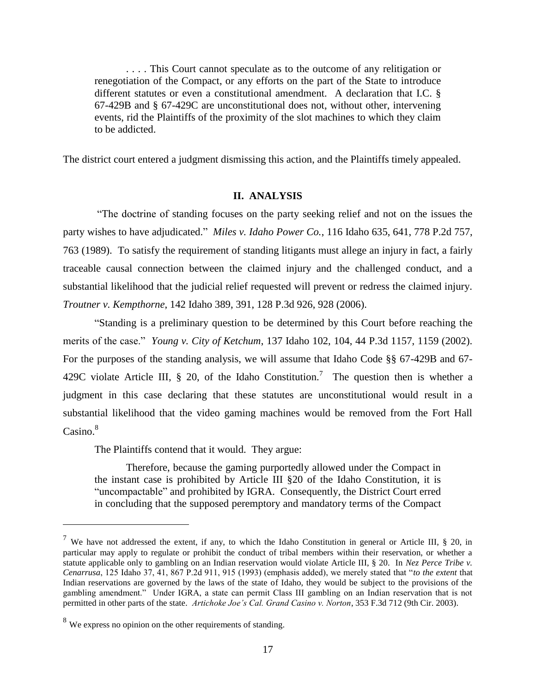. . . . This Court cannot speculate as to the outcome of any relitigation or renegotiation of the Compact, or any efforts on the part of the State to introduce different statutes or even a constitutional amendment. A declaration that I.C. § 67-429B and § 67-429C are unconstitutional does not, without other, intervening events, rid the Plaintiffs of the proximity of the slot machines to which they claim to be addicted.

The district court entered a judgment dismissing this action, and the Plaintiffs timely appealed.

### **II. ANALYSIS**

"The doctrine of standing focuses on the party seeking relief and not on the issues the party wishes to have adjudicated." *Miles v. Idaho Power Co.*, 116 Idaho 635, 641, 778 P.2d 757, 763 (1989). To satisfy the requirement of standing litigants must allege an injury in fact, a fairly traceable causal connection between the claimed injury and the challenged conduct, and a substantial likelihood that the judicial relief requested will prevent or redress the claimed injury. *Troutner v. Kempthorne*, 142 Idaho 389, 391, 128 P.3d 926, 928 (2006).

"Standing is a preliminary question to be determined by this Court before reaching the merits of the case." *Young v. City of Ketchum*, 137 Idaho 102, 104, 44 P.3d 1157, 1159 (2002). For the purposes of the standing analysis, we will assume that Idaho Code §§ 67-429B and 67- 429C violate Article III, § 20, of the Idaho Constitution.<sup>7</sup> The question then is whether a judgment in this case declaring that these statutes are unconstitutional would result in a substantial likelihood that the video gaming machines would be removed from the Fort Hall  $\text{Casino.}^8$ 

The Plaintiffs contend that it would. They argue:

Therefore, because the gaming purportedly allowed under the Compact in the instant case is prohibited by Article III §20 of the Idaho Constitution, it is "uncompactable" and prohibited by IGRA. Consequently, the District Court erred in concluding that the supposed peremptory and mandatory terms of the Compact

 $\overline{a}$ 

<sup>7</sup> We have not addressed the extent, if any, to which the Idaho Constitution in general or Article III, § 20, in particular may apply to regulate or prohibit the conduct of tribal members within their reservation, or whether a statute applicable only to gambling on an Indian reservation would violate Article III, § 20. In *Nez Perce Tribe v. Cenarrusa*, 125 Idaho 37, 41, 867 P.2d 911, 915 (1993) (emphasis added), we merely stated that "*to the extent* that Indian reservations are governed by the laws of the state of Idaho, they would be subject to the provisions of the gambling amendment." Under IGRA, a state can permit Class III gambling on an Indian reservation that is not permitted in other parts of the state. *Artichoke Joe's Cal. Grand Casino v. Norton*, 353 F.3d 712 (9th Cir. 2003).

<sup>&</sup>lt;sup>8</sup> We express no opinion on the other requirements of standing.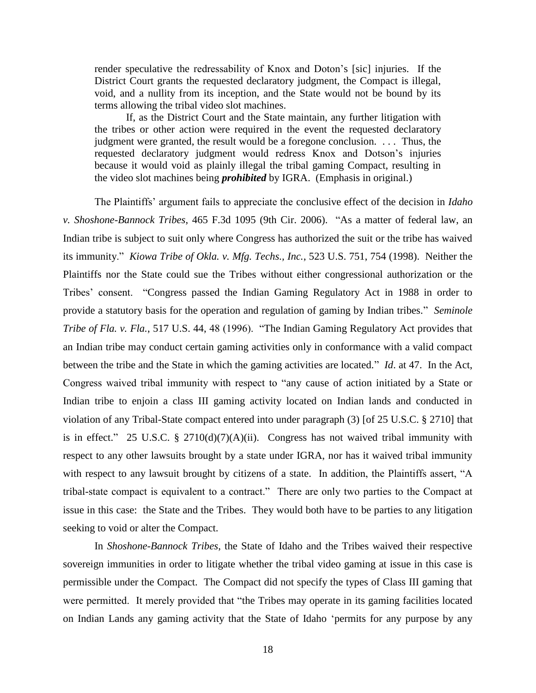render speculative the redressability of Knox and Doton"s [sic] injuries. If the District Court grants the requested declaratory judgment, the Compact is illegal, void, and a nullity from its inception, and the State would not be bound by its terms allowing the tribal video slot machines.

If, as the District Court and the State maintain, any further litigation with the tribes or other action were required in the event the requested declaratory judgment were granted, the result would be a foregone conclusion. . . . Thus, the requested declaratory judgment would redress Knox and Dotson"s injuries because it would void as plainly illegal the tribal gaming Compact, resulting in the video slot machines being *prohibited* by IGRA. (Emphasis in original.)

The Plaintiffs" argument fails to appreciate the conclusive effect of the decision in *Idaho v. Shoshone-Bannock Tribes*, 465 F.3d 1095 (9th Cir. 2006). "As a matter of federal law, an Indian tribe is subject to suit only where Congress has authorized the suit or the tribe has waived its immunity." *Kiowa Tribe of Okla. v. Mfg. Techs., Inc.*, 523 U.S. 751, 754 (1998). Neither the Plaintiffs nor the State could sue the Tribes without either congressional authorization or the Tribes' consent. "Congress passed the Indian Gaming Regulatory Act in 1988 in order to provide a statutory basis for the operation and regulation of gaming by Indian tribes." *Seminole Tribe of Fla. v. Fla.*, 517 U.S. 44, 48 (1996). "The Indian Gaming Regulatory Act provides that an Indian tribe may conduct certain gaming activities only in conformance with a valid compact between the tribe and the State in which the gaming activities are located." *Id*. at 47. In the Act, Congress waived tribal immunity with respect to "any cause of action initiated by a State or Indian tribe to enjoin a class III gaming activity located on Indian lands and conducted in violation of any Tribal-State compact entered into under paragraph (3) [of 25 U.S.C. § 2710] that is in effect." 25 U.S.C. § 2710(d)(7)(A)(ii). Congress has not waived tribal immunity with respect to any other lawsuits brought by a state under IGRA, nor has it waived tribal immunity with respect to any lawsuit brought by citizens of a state. In addition, the Plaintiffs assert, "A tribal-state compact is equivalent to a contract." There are only two parties to the Compact at issue in this case: the State and the Tribes. They would both have to be parties to any litigation seeking to void or alter the Compact.

In *Shoshone-Bannock Tribes*, the State of Idaho and the Tribes waived their respective sovereign immunities in order to litigate whether the tribal video gaming at issue in this case is permissible under the Compact. The Compact did not specify the types of Class III gaming that were permitted. It merely provided that "the Tribes may operate in its gaming facilities located on Indian Lands any gaming activity that the State of Idaho "permits for any purpose by any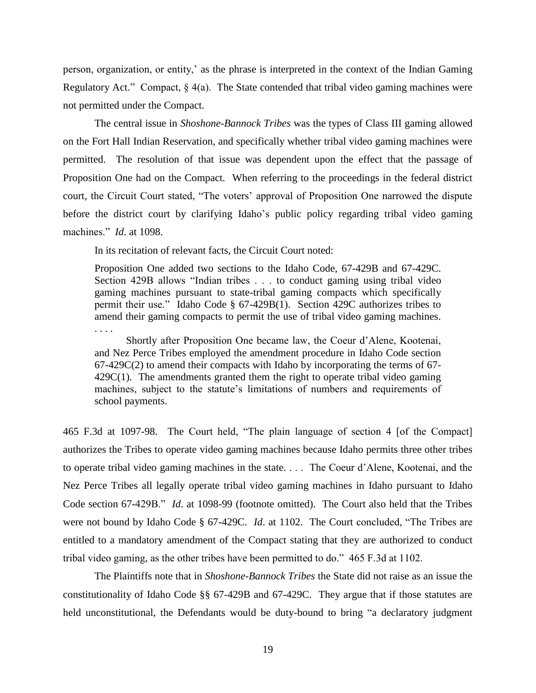person, organization, or entity," as the phrase is interpreted in the context of the Indian Gaming Regulatory Act." Compact,  $\S_4(a)$ . The State contended that tribal video gaming machines were not permitted under the Compact.

The central issue in *Shoshone-Bannock Tribes* was the types of Class III gaming allowed on the Fort Hall Indian Reservation, and specifically whether tribal video gaming machines were permitted. The resolution of that issue was dependent upon the effect that the passage of Proposition One had on the Compact. When referring to the proceedings in the federal district court, the Circuit Court stated, "The voters" approval of Proposition One narrowed the dispute before the district court by clarifying Idaho"s public policy regarding tribal video gaming machines." *Id*. at 1098.

In its recitation of relevant facts, the Circuit Court noted:

Proposition One added two sections to the Idaho Code, 67-429B and 67-429C. Section 429B allows "Indian tribes . . . to conduct gaming using tribal video gaming machines pursuant to state-tribal gaming compacts which specifically permit their use." Idaho Code § 67-429B(1). Section 429C authorizes tribes to amend their gaming compacts to permit the use of tribal video gaming machines. . . . .

Shortly after Proposition One became law, the Coeur d"Alene, Kootenai, and Nez Perce Tribes employed the amendment procedure in Idaho Code section 67-429C(2) to amend their compacts with Idaho by incorporating the terms of 67- 429C(1). The amendments granted them the right to operate tribal video gaming machines, subject to the statute's limitations of numbers and requirements of school payments.

465 F.3d at 1097-98. The Court held, "The plain language of section 4 [of the Compact] authorizes the Tribes to operate video gaming machines because Idaho permits three other tribes to operate tribal video gaming machines in the state. . . . The Coeur d"Alene, Kootenai, and the Nez Perce Tribes all legally operate tribal video gaming machines in Idaho pursuant to Idaho Code section 67-429B." *Id*. at 1098-99 (footnote omitted). The Court also held that the Tribes were not bound by Idaho Code § 67-429C. *Id*. at 1102. The Court concluded, "The Tribes are entitled to a mandatory amendment of the Compact stating that they are authorized to conduct tribal video gaming, as the other tribes have been permitted to do." 465 F.3d at 1102.

The Plaintiffs note that in *Shoshone-Bannock Tribes* the State did not raise as an issue the constitutionality of Idaho Code §§ 67-429B and 67-429C. They argue that if those statutes are held unconstitutional, the Defendants would be duty-bound to bring "a declaratory judgment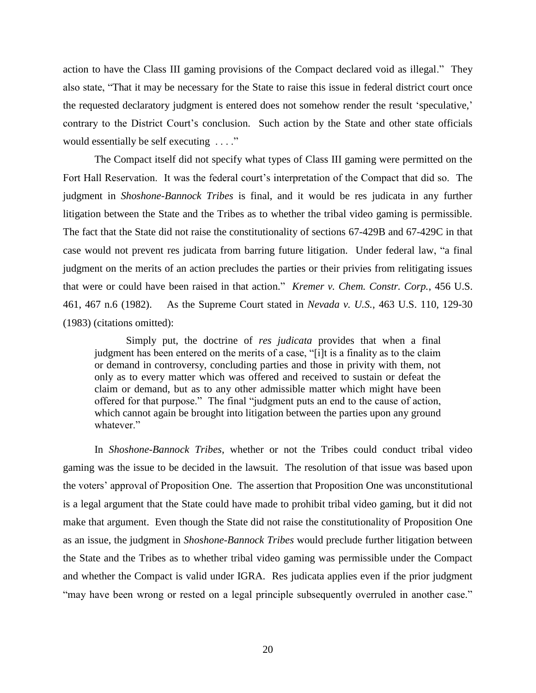action to have the Class III gaming provisions of the Compact declared void as illegal." They also state, "That it may be necessary for the State to raise this issue in federal district court once the requested declaratory judgment is entered does not somehow render the result "speculative," contrary to the District Court's conclusion. Such action by the State and other state officials would essentially be self executing . . . ."

The Compact itself did not specify what types of Class III gaming were permitted on the Fort Hall Reservation. It was the federal court's interpretation of the Compact that did so. The judgment in *Shoshone-Bannock Tribes* is final, and it would be res judicata in any further litigation between the State and the Tribes as to whether the tribal video gaming is permissible. The fact that the State did not raise the constitutionality of sections 67-429B and 67-429C in that case would not prevent res judicata from barring future litigation. Under federal law, "a final judgment on the merits of an action precludes the parties or their privies from relitigating issues that were or could have been raised in that action." *Kremer v. Chem. Constr. Corp.*, 456 U.S. 461, 467 n.6 (1982). As the Supreme Court stated in *Nevada v. U.S.*, 463 U.S. 110, 129-30 (1983) (citations omitted):

Simply put, the doctrine of *res judicata* provides that when a final judgment has been entered on the merits of a case, "[i]t is a finality as to the claim or demand in controversy, concluding parties and those in privity with them, not only as to every matter which was offered and received to sustain or defeat the claim or demand, but as to any other admissible matter which might have been offered for that purpose." The final "judgment puts an end to the cause of action, which cannot again be brought into litigation between the parties upon any ground whatever."

In *Shoshone-Bannock Tribes*, whether or not the Tribes could conduct tribal video gaming was the issue to be decided in the lawsuit. The resolution of that issue was based upon the voters" approval of Proposition One. The assertion that Proposition One was unconstitutional is a legal argument that the State could have made to prohibit tribal video gaming, but it did not make that argument. Even though the State did not raise the constitutionality of Proposition One as an issue, the judgment in *Shoshone-Bannock Tribes* would preclude further litigation between the State and the Tribes as to whether tribal video gaming was permissible under the Compact and whether the Compact is valid under IGRA. Res judicata applies even if the prior judgment "may have been wrong or rested on a legal principle subsequently overruled in another case."